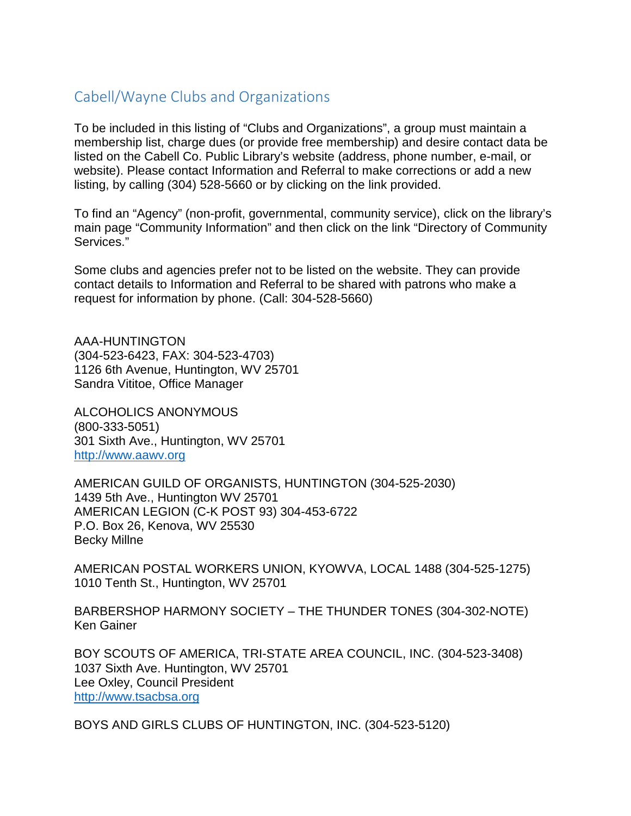## Cabell/Wayne Clubs and Organizations

To be included in this listing of "Clubs and Organizations", a group must maintain a membership list, charge dues (or provide free membership) and desire contact data be listed on the Cabell Co. Public Library's website (address, phone number, e-mail, or website). Please contact Information and Referral to make corrections or add a new listing, by calling (304) 528-5660 or by clicking on the link provided.

To find an "Agency" (non-profit, governmental, community service), click on the library's main page "Community Information" and then click on the link "Directory of Community Services."

Some clubs and agencies prefer not to be listed on the website. They can provide contact details to Information and Referral to be shared with patrons who make a request for information by phone. (Call: 304-528-5660)

AAA-HUNTINGTON (304-523-6423, FAX: 304-523-4703) 1126 6th Avenue, Huntington, WV 25701 Sandra Vititoe, Office Manager

ALCOHOLICS ANONYMOUS (800-333-5051) 301 Sixth Ave., Huntington, WV 25701 [http://www.aawv.org](http://www.aawv.org/)

AMERICAN GUILD OF ORGANISTS, HUNTINGTON (304-525-2030) 1439 5th Ave., Huntington WV 25701 AMERICAN LEGION (C-K POST 93) 304-453-6722 P.O. Box 26, Kenova, WV 25530 Becky Millne

AMERICAN POSTAL WORKERS UNION, KYOWVA, LOCAL 1488 (304-525-1275) 1010 Tenth St., Huntington, WV 25701

BARBERSHOP HARMONY SOCIETY – THE THUNDER TONES (304-302-NOTE) Ken Gainer

BOY SCOUTS OF AMERICA, TRI-STATE AREA COUNCIL, INC. (304-523-3408) 1037 Sixth Ave. Huntington, WV 25701 Lee Oxley, Council President [http://www.tsacbsa.org](http://www.tsacbsa.org/)

BOYS AND GIRLS CLUBS OF HUNTINGTON, INC. (304-523-5120)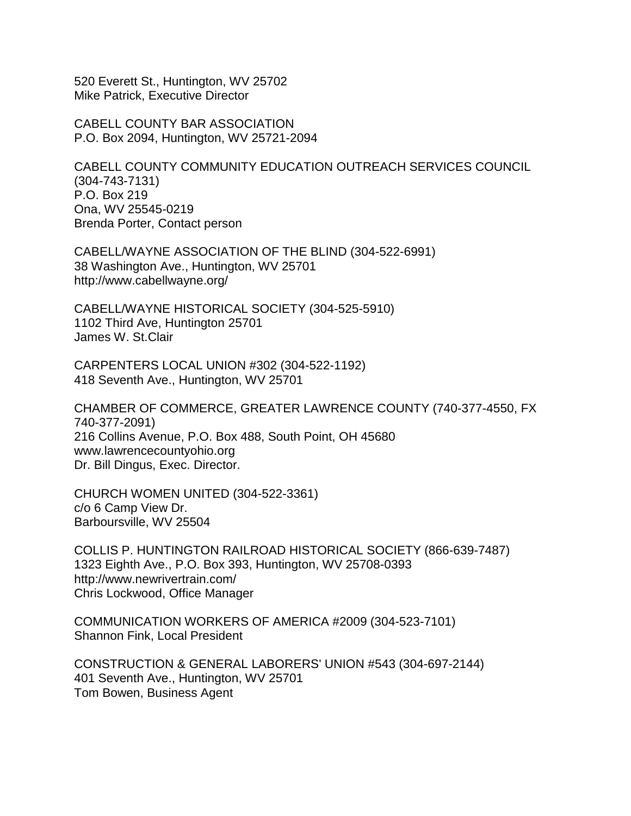520 Everett St., Huntington, WV 25702 Mike Patrick, Executive Director

CABELL COUNTY BAR ASSOCIATION P.O. Box 2094, Huntington, WV 25721-2094

CABELL COUNTY COMMUNITY EDUCATION OUTREACH SERVICES COUNCIL (304-743-7131) P.O. Box 219 Ona, WV 25545-0219 Brenda Porter, Contact person

CABELL/WAYNE ASSOCIATION OF THE BLIND (304-522-6991) 38 Washington Ave., Huntington, WV 25701 http://www.cabellwayne.org/

CABELL/WAYNE HISTORICAL SOCIETY (304-525-5910) 1102 Third Ave, Huntington 25701 James W. St.Clair

CARPENTERS LOCAL UNION #302 (304-522-1192) 418 Seventh Ave., Huntington, WV 25701

CHAMBER OF COMMERCE, GREATER LAWRENCE COUNTY (740-377-4550, FX 740-377-2091) 216 Collins Avenue, P.O. Box 488, South Point, OH 45680 www.lawrencecountyohio.org Dr. Bill Dingus, Exec. Director.

CHURCH WOMEN UNITED (304-522-3361) c/o 6 Camp View Dr. Barboursville, WV 25504

COLLIS P. HUNTINGTON RAILROAD HISTORICAL SOCIETY (866-639-7487) 1323 Eighth Ave., P.O. Box 393, Huntington, WV 25708-0393 http://www.newrivertrain.com/ Chris Lockwood, Office Manager

COMMUNICATION WORKERS OF AMERICA #2009 (304-523-7101) Shannon Fink, Local President

CONSTRUCTION & GENERAL LABORERS' UNION #543 (304-697-2144) 401 Seventh Ave., Huntington, WV 25701 Tom Bowen, Business Agent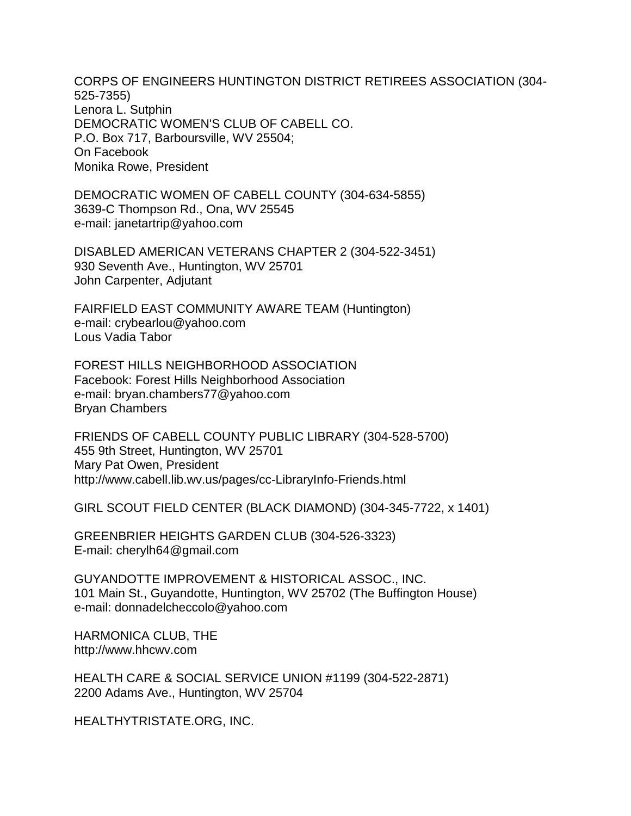CORPS OF ENGINEERS HUNTINGTON DISTRICT RETIREES ASSOCIATION (304- 525-7355) Lenora L. Sutphin DEMOCRATIC WOMEN'S CLUB OF CABELL CO. P.O. Box 717, Barboursville, WV 25504; On Facebook Monika Rowe, President

DEMOCRATIC WOMEN OF CABELL COUNTY (304-634-5855) 3639-C Thompson Rd., Ona, WV 25545 e-mail: janetartrip@yahoo.com

DISABLED AMERICAN VETERANS CHAPTER 2 (304-522-3451) 930 Seventh Ave., Huntington, WV 25701 John Carpenter, Adjutant

FAIRFIELD EAST COMMUNITY AWARE TEAM (Huntington) e-mail: crybearlou@yahoo.com Lous Vadia Tabor

FOREST HILLS NEIGHBORHOOD ASSOCIATION Facebook: Forest Hills Neighborhood Association e-mail: bryan.chambers77@yahoo.com Bryan Chambers

FRIENDS OF CABELL COUNTY PUBLIC LIBRARY (304-528-5700) 455 9th Street, Huntington, WV 25701 Mary Pat Owen, President http://www.cabell.lib.wv.us/pages/cc-LibraryInfo-Friends.html

GIRL SCOUT FIELD CENTER (BLACK DIAMOND) (304-345-7722, x 1401)

GREENBRIER HEIGHTS GARDEN CLUB (304-526-3323) E-mail: cherylh64@gmail.com

GUYANDOTTE IMPROVEMENT & HISTORICAL ASSOC., INC. 101 Main St., Guyandotte, Huntington, WV 25702 (The Buffington House) e-mail: donnadelcheccolo@yahoo.com

HARMONICA CLUB, THE http://www.hhcwv.com

HEALTH CARE & SOCIAL SERVICE UNION #1199 (304-522-2871) 2200 Adams Ave., Huntington, WV 25704

HEALTHYTRISTATE.ORG, INC.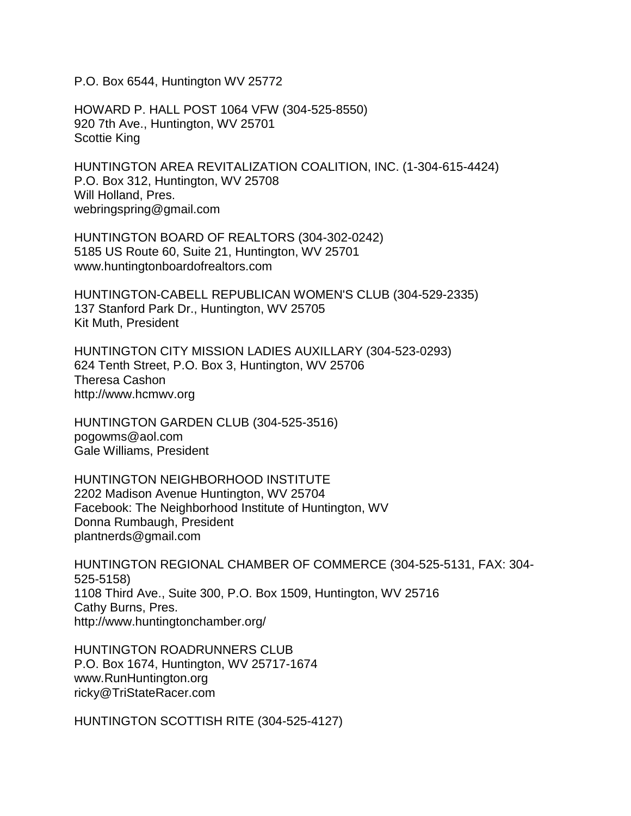P.O. Box 6544, Huntington WV 25772

HOWARD P. HALL POST 1064 VFW (304-525-8550) 920 7th Ave., Huntington, WV 25701 Scottie King

HUNTINGTON AREA REVITALIZATION COALITION, INC. (1-304-615-4424) P.O. Box 312, Huntington, WV 25708 Will Holland, Pres. webringspring@gmail.com

HUNTINGTON BOARD OF REALTORS (304-302-0242) 5185 US Route 60, Suite 21, Huntington, WV 25701 www.huntingtonboardofrealtors.com

HUNTINGTON-CABELL REPUBLICAN WOMEN'S CLUB (304-529-2335) 137 Stanford Park Dr., Huntington, WV 25705 Kit Muth, President

HUNTINGTON CITY MISSION LADIES AUXILLARY (304-523-0293) 624 Tenth Street, P.O. Box 3, Huntington, WV 25706 Theresa Cashon http://www.hcmwv.org

HUNTINGTON GARDEN CLUB (304-525-3516) pogowms@aol.com Gale Williams, President

HUNTINGTON NEIGHBORHOOD INSTITUTE 2202 Madison Avenue Huntington, WV 25704 Facebook: The Neighborhood Institute of Huntington, WV Donna Rumbaugh, President plantnerds@gmail.com

HUNTINGTON REGIONAL CHAMBER OF COMMERCE (304-525-5131, FAX: 304- 525-5158) 1108 Third Ave., Suite 300, P.O. Box 1509, Huntington, WV 25716 Cathy Burns, Pres. http://www.huntingtonchamber.org/

HUNTINGTON ROADRUNNERS CLUB P.O. Box 1674, Huntington, WV 25717-1674 www.RunHuntington.org ricky@TriStateRacer.com

HUNTINGTON SCOTTISH RITE (304-525-4127)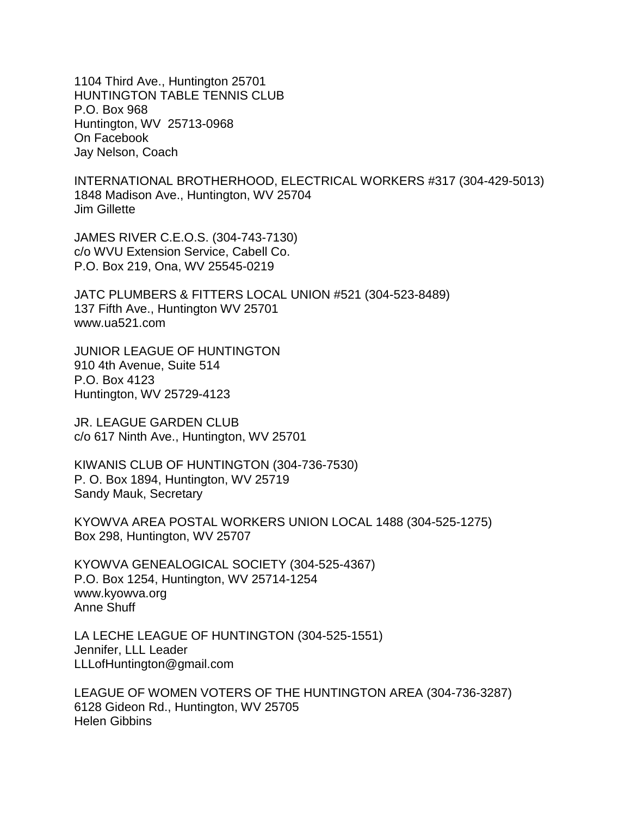1104 Third Ave., Huntington 25701 HUNTINGTON TABLE TENNIS CLUB P.O. Box 968 Huntington, WV 25713-0968 On Facebook Jay Nelson, Coach

INTERNATIONAL BROTHERHOOD, ELECTRICAL WORKERS #317 (304-429-5013) 1848 Madison Ave., Huntington, WV 25704 Jim Gillette

JAMES RIVER C.E.O.S. (304-743-7130) c/o WVU Extension Service, Cabell Co. P.O. Box 219, Ona, WV 25545-0219

JATC PLUMBERS & FITTERS LOCAL UNION #521 (304-523-8489) 137 Fifth Ave., Huntington WV 25701 www.ua521.com

JUNIOR LEAGUE OF HUNTINGTON 910 4th Avenue, Suite 514 P.O. Box 4123 Huntington, WV 25729-4123

JR. LEAGUE GARDEN CLUB c/o 617 Ninth Ave., Huntington, WV 25701

KIWANIS CLUB OF HUNTINGTON (304-736-7530) P. O. Box 1894, Huntington, WV 25719 Sandy Mauk, Secretary

KYOWVA AREA POSTAL WORKERS UNION LOCAL 1488 (304-525-1275) Box 298, Huntington, WV 25707

KYOWVA GENEALOGICAL SOCIETY (304-525-4367) P.O. Box 1254, Huntington, WV 25714-1254 www.kyowva.org Anne Shuff

LA LECHE LEAGUE OF HUNTINGTON (304-525-1551) Jennifer, LLL Leader LLLofHuntington@gmail.com

LEAGUE OF WOMEN VOTERS OF THE HUNTINGTON AREA (304-736-3287) 6128 Gideon Rd., Huntington, WV 25705 Helen Gibbins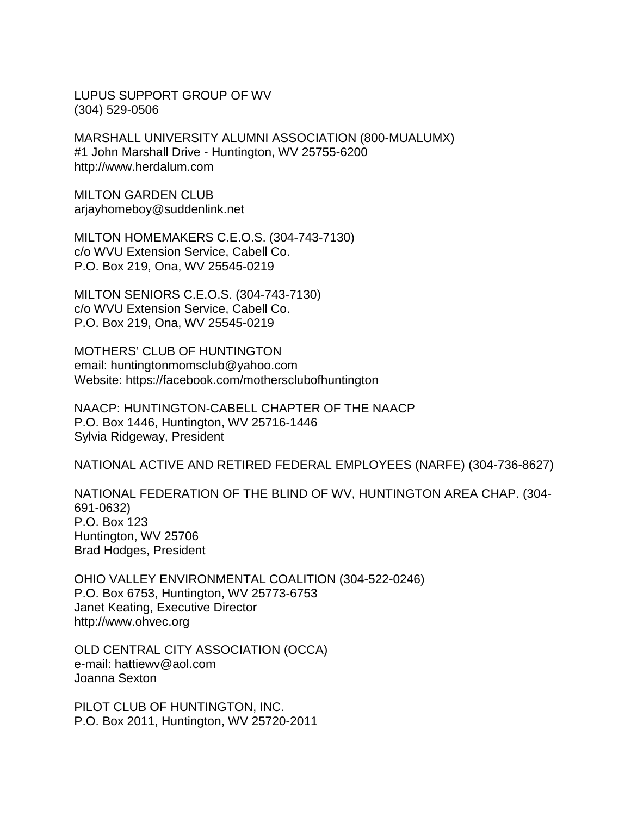LUPUS SUPPORT GROUP OF WV (304) 529-0506

MARSHALL UNIVERSITY ALUMNI ASSOCIATION (800-MUALUMX) #1 John Marshall Drive - Huntington, WV 25755-6200 http://www.herdalum.com

MILTON GARDEN CLUB arjayhomeboy@suddenlink.net

MILTON HOMEMAKERS C.E.O.S. (304-743-7130) c/o WVU Extension Service, Cabell Co. P.O. Box 219, Ona, WV 25545-0219

MILTON SENIORS C.E.O.S. (304-743-7130) c/o WVU Extension Service, Cabell Co. P.O. Box 219, Ona, WV 25545-0219

MOTHERS' CLUB OF HUNTINGTON email: huntingtonmomsclub@yahoo.com Website: https://facebook.com/mothersclubofhuntington

NAACP: HUNTINGTON-CABELL CHAPTER OF THE NAACP P.O. Box 1446, Huntington, WV 25716-1446 Sylvia Ridgeway, President

NATIONAL ACTIVE AND RETIRED FEDERAL EMPLOYEES (NARFE) (304-736-8627)

NATIONAL FEDERATION OF THE BLIND OF WV, HUNTINGTON AREA CHAP. (304- 691-0632) P.O. Box 123 Huntington, WV 25706 Brad Hodges, President

OHIO VALLEY ENVIRONMENTAL COALITION (304-522-0246) P.O. Box 6753, Huntington, WV 25773-6753 Janet Keating, Executive Director http://www.ohvec.org

OLD CENTRAL CITY ASSOCIATION (OCCA) e-mail: hattiewv@aol.com Joanna Sexton

PILOT CLUB OF HUNTINGTON, INC. P.O. Box 2011, Huntington, WV 25720-2011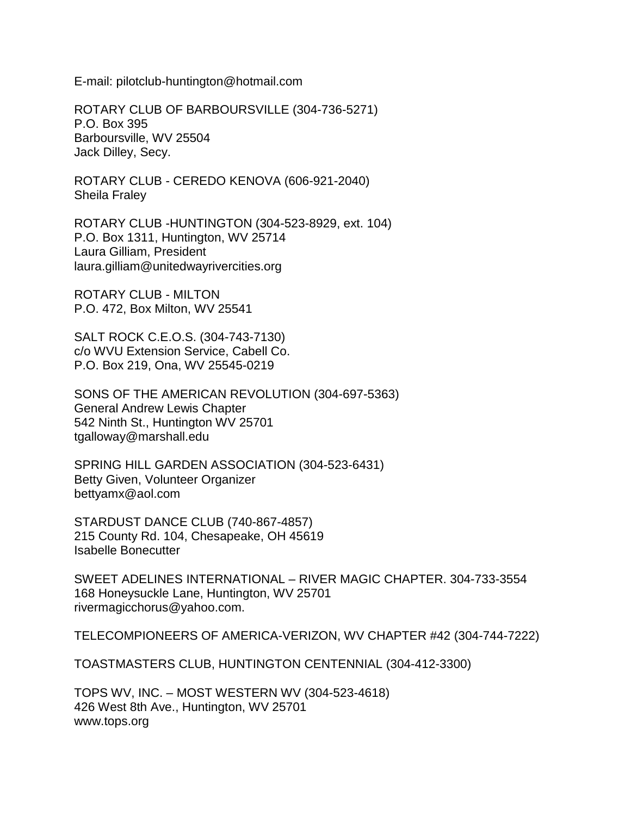E-mail: pilotclub-huntington@hotmail.com

ROTARY CLUB OF BARBOURSVILLE (304-736-5271) P.O. Box 395 Barboursville, WV 25504 Jack Dilley, Secy.

ROTARY CLUB - CEREDO KENOVA (606-921-2040) Sheila Fraley

ROTARY CLUB -HUNTINGTON (304-523-8929, ext. 104) P.O. Box 1311, Huntington, WV 25714 Laura Gilliam, President laura.gilliam@unitedwayrivercities.org

ROTARY CLUB - MILTON P.O. 472, Box Milton, WV 25541

SALT ROCK C.E.O.S. (304-743-7130) c/o WVU Extension Service, Cabell Co. P.O. Box 219, Ona, WV 25545-0219

SONS OF THE AMERICAN REVOLUTION (304-697-5363) General Andrew Lewis Chapter 542 Ninth St., Huntington WV 25701 tgalloway@marshall.edu

SPRING HILL GARDEN ASSOCIATION (304-523-6431) Betty Given, Volunteer Organizer bettyamx@aol.com

STARDUST DANCE CLUB (740-867-4857) 215 County Rd. 104, Chesapeake, OH 45619 Isabelle Bonecutter

SWEET ADELINES INTERNATIONAL – RIVER MAGIC CHAPTER. 304-733-3554 168 Honeysuckle Lane, Huntington, WV 25701 rivermagicchorus@yahoo.com.

TELECOMPIONEERS OF AMERICA-VERIZON, WV CHAPTER #42 (304-744-7222)

TOASTMASTERS CLUB, HUNTINGTON CENTENNIAL (304-412-3300)

TOPS WV, INC. – MOST WESTERN WV (304-523-4618) 426 West 8th Ave., Huntington, WV 25701 www.tops.org